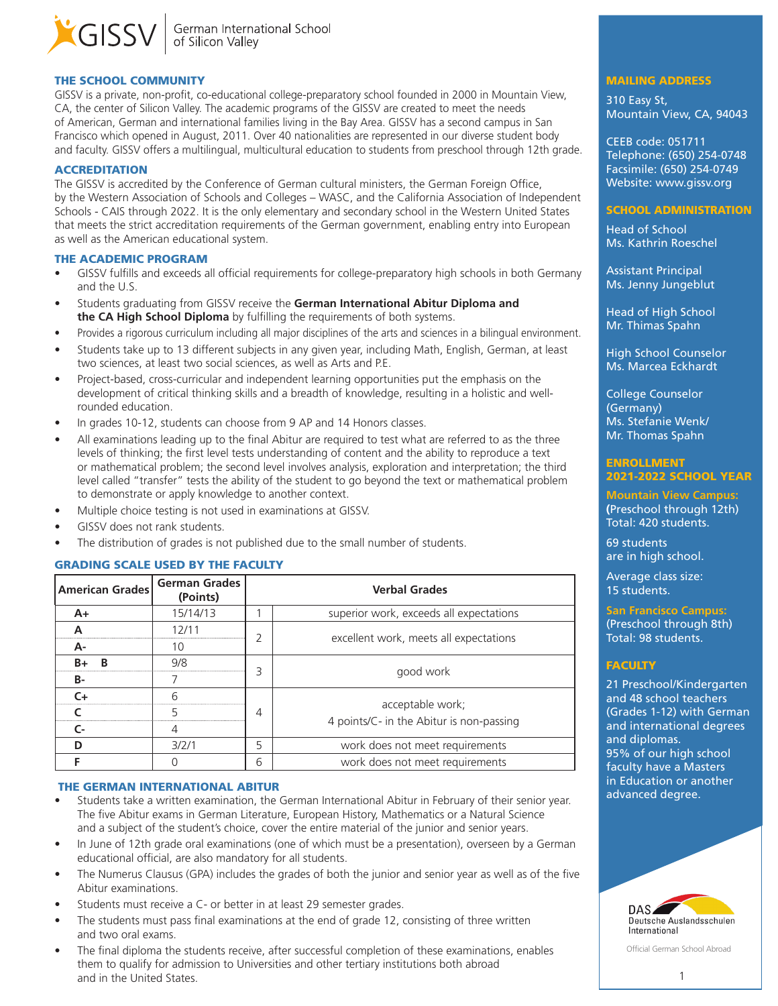

# THE SCHOOL COMMUNITY

GISSV is a private, non-profit, co-educational college-preparatory school founded in 2000 in Mountain View, CA, the center of Silicon Valley. The academic programs of the GISSV are created to meet the needs of American, German and international families living in the Bay Area. GISSV has a second campus in San Francisco which opened in August, 2011. Over 40 nationalities are represented in our diverse student body and faculty. GISSV offers a multilingual, multicultural education to students from preschool through 12th grade.

#### **ACCREDITATION**

The GISSV is accredited by the Conference of German cultural ministers, the German Foreign Office, by the Western Association of Schools and Colleges – WASC, and the California Association of Independent Schools - CAIS through 2022. It is the only elementary and secondary school in the Western United States that meets the strict accreditation requirements of the German government, enabling entry into European as well as the American educational system.

### THE ACADEMIC PROGRAM

- GISSV fulfills and exceeds all official requirements for college-preparatory high schools in both Germany and the U.S.
- Students graduating from GISSV receive the **German International Abitur Diploma and the CA High School Diploma** by fulfilling the requirements of both systems.
- Provides a rigorous curriculum including all major disciplines of the arts and sciences in a bilingual environment.
- Students take up to 13 different subjects in any given year, including Math, English, German, at least two sciences, at least two social sciences, as well as Arts and P.E.
- Project-based, cross-curricular and independent learning opportunities put the emphasis on the development of critical thinking skills and a breadth of knowledge, resulting in a holistic and wellrounded education.
- In grades 10-12, students can choose from 9 AP and 14 Honors classes.
- All examinations leading up to the final Abitur are required to test what are referred to as the three levels of thinking; the first level tests understanding of content and the ability to reproduce a text or mathematical problem; the second level involves analysis, exploration and interpretation; the third level called "transfer" tests the ability of the student to go beyond the text or mathematical problem to demonstrate or apply knowledge to another context.
- Multiple choice testing is not used in examinations at GISSV.
- GISSV does not rank students.
- The distribution of grades is not published due to the small number of students.

# GRADING SCALE USED BY THE FACULTY

| <b>American Grades</b> | <b>German Grades</b><br>(Points) | <b>Verbal Grades</b> |                                          |  |  |  |
|------------------------|----------------------------------|----------------------|------------------------------------------|--|--|--|
| $A+$                   | 15/14/13                         |                      | superior work, exceeds all expectations  |  |  |  |
|                        |                                  |                      |                                          |  |  |  |
| А-                     | 10                               |                      | excellent work, meets all expectations   |  |  |  |
| R                      | 9/8                              | 3                    |                                          |  |  |  |
| в-                     |                                  |                      | good work                                |  |  |  |
| ≃≖                     |                                  |                      |                                          |  |  |  |
|                        |                                  | 4                    | acceptable work;                         |  |  |  |
| r.                     |                                  |                      | 4 points/C- in the Abitur is non-passing |  |  |  |
|                        | 3/2/1                            | 5                    | work does not meet requirements          |  |  |  |
|                        |                                  | 6                    | work does not meet requirements          |  |  |  |

## THE GERMAN INTERNATIONAL ABITUR

- Students take a written examination, the German International Abitur in February of their senior year. The five Abitur exams in German Literature, European History, Mathematics or a Natural Science and a subject of the student's choice, cover the entire material of the junior and senior years.
- In June of 12th grade oral examinations (one of which must be a presentation), overseen by a German educational official, are also mandatory for all students.
- The Numerus Clausus (GPA) includes the grades of both the junior and senior year as well as of the five Abitur examinations.
- Students must receive a C- or better in at least 29 semester grades.
- The students must pass final examinations at the end of grade 12, consisting of three written and two oral exams.
- The final diploma the students receive, after successful completion of these examinations, enables them to qualify for admission to Universities and other tertiary institutions both abroad and in the United States.

### MAILING ADDRESS

310 Easy St, Mountain View, CA, 94043

CEEB code: 051711 Telephone: (650) 254-0748 Facsimile: (650) 254-0749 Website: www.gissv.org

# SCHOOL ADMINISTRATION

Head of School Ms. Kathrin Roeschel

Assistant Principal Ms. Jenny Jungeblut

Head of High School Mr. Thimas Spahn

High School Counselor Ms. Marcea Eckhardt

College Counselor (Germany) Ms. Stefanie Wenk/ Mr. Thomas Spahn

## ENROLLMENT 2021-2022 SCHOOL YEAR

**Mountain View Campus: (**Preschool through 12th) Total: 420 students.

69 students are in high school.

Average class size: 15 students.

### **San Francisco Campus:** (Preschool through 8th) Total: 98 students.

# **FACULTY**

21 Preschool/Kindergarten and 48 school teachers (Grades 1-12) with German and international degrees and diplomas. 95% of our high school faculty have a Masters in Education or another advanced degree.



Official German School Abroad